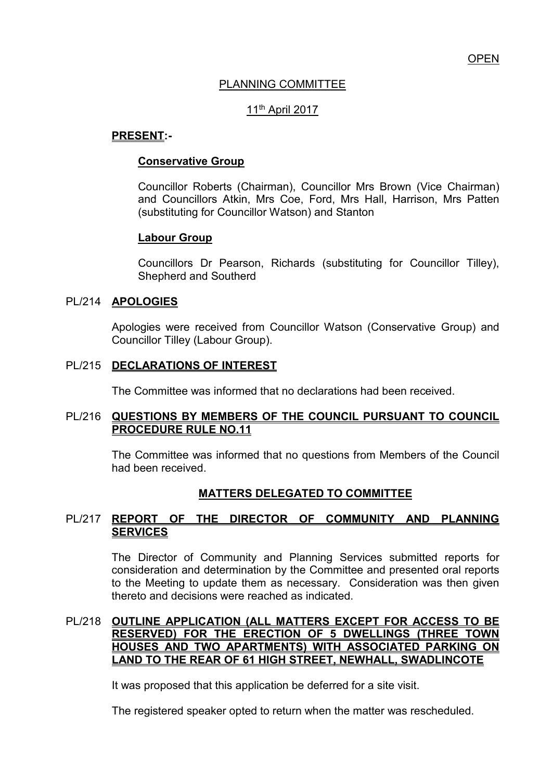# PLANNING COMMITTEE

# 11th April 2017

### **PRESENT:-**

### **Conservative Group**

Councillor Roberts (Chairman), Councillor Mrs Brown (Vice Chairman) and Councillors Atkin, Mrs Coe, Ford, Mrs Hall, Harrison, Mrs Patten (substituting for Councillor Watson) and Stanton

# **Labour Group**

Councillors Dr Pearson, Richards (substituting for Councillor Tilley), Shepherd and Southerd

### PL/214 **APOLOGIES**

Apologies were received from Councillor Watson (Conservative Group) and Councillor Tilley (Labour Group).

# PL/215 **DECLARATIONS OF INTEREST**

The Committee was informed that no declarations had been received.

### PL/216 **QUESTIONS BY MEMBERS OF THE COUNCIL PURSUANT TO COUNCIL PROCEDURE RULE NO.11**

The Committee was informed that no questions from Members of the Council had been received.

# **MATTERS DELEGATED TO COMMITTEE**

# PL/217 **REPORT OF THE DIRECTOR OF COMMUNITY AND PLANNING SERVICES**

The Director of Community and Planning Services submitted reports for consideration and determination by the Committee and presented oral reports to the Meeting to update them as necessary. Consideration was then given thereto and decisions were reached as indicated.

### PL/218 **OUTLINE APPLICATION (ALL MATTERS EXCEPT FOR ACCESS TO BE RESERVED) FOR THE ERECTION OF 5 DWELLINGS (THREE TOWN HOUSES AND TWO APARTMENTS) WITH ASSOCIATED PARKING ON LAND TO THE REAR OF 61 HIGH STREET, NEWHALL, SWADLINCOTE**

It was proposed that this application be deferred for a site visit.

The registered speaker opted to return when the matter was rescheduled.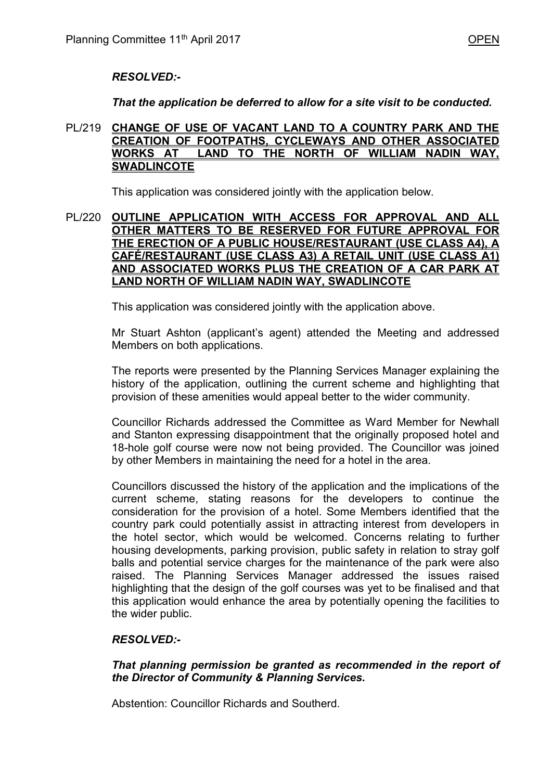# *RESOLVED:-*

*That the application be deferred to allow for a site visit to be conducted.* 

#### PL/219 **CHANGE OF USE OF VACANT LAND TO A COUNTRY PARK AND THE CREATION OF FOOTPATHS, CYCLEWAYS AND OTHER ASSOCIATED WORKS AT LAND TO THE NORTH OF WILLIAM NADIN WAY, SWADLINCOTE**

This application was considered jointly with the application below.

#### PL/220 **OUTLINE APPLICATION WITH ACCESS FOR APPROVAL AND ALL OTHER MATTERS TO BE RESERVED FOR FUTURE APPROVAL FOR THE ERECTION OF A PUBLIC HOUSE/RESTAURANT (USE CLASS A4), A CAFÉ/RESTAURANT (USE CLASS A3) A RETAIL UNIT (USE CLASS A1) AND ASSOCIATED WORKS PLUS THE CREATION OF A CAR PARK AT LAND NORTH OF WILLIAM NADIN WAY, SWADLINCOTE**

This application was considered jointly with the application above.

 Mr Stuart Ashton (applicant's agent) attended the Meeting and addressed Members on both applications.

 The reports were presented by the Planning Services Manager explaining the history of the application, outlining the current scheme and highlighting that provision of these amenities would appeal better to the wider community.

Councillor Richards addressed the Committee as Ward Member for Newhall and Stanton expressing disappointment that the originally proposed hotel and 18-hole golf course were now not being provided. The Councillor was joined by other Members in maintaining the need for a hotel in the area.

Councillors discussed the history of the application and the implications of the current scheme, stating reasons for the developers to continue the consideration for the provision of a hotel. Some Members identified that the country park could potentially assist in attracting interest from developers in the hotel sector, which would be welcomed. Concerns relating to further housing developments, parking provision, public safety in relation to stray golf balls and potential service charges for the maintenance of the park were also raised. The Planning Services Manager addressed the issues raised highlighting that the design of the golf courses was yet to be finalised and that this application would enhance the area by potentially opening the facilities to the wider public.

# *RESOLVED:-*

### *That planning permission be granted as recommended in the report of the Director of Community & Planning Services.*

Abstention: Councillor Richards and Southerd.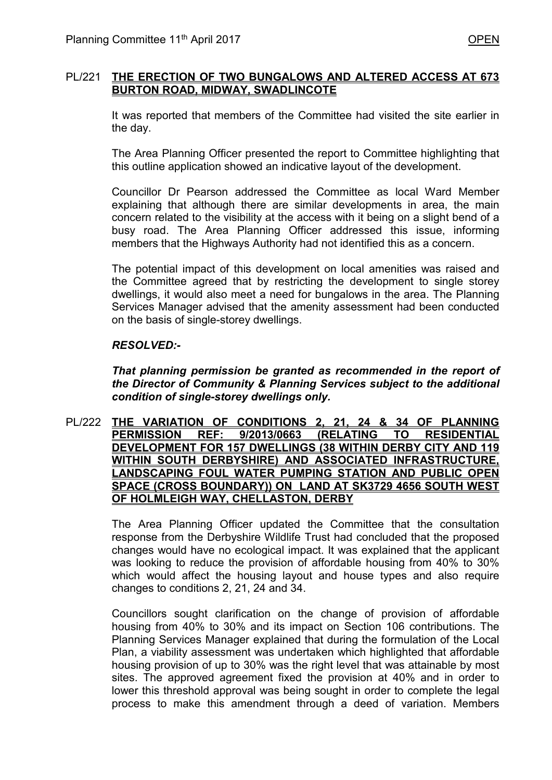### PL/221 **THE ERECTION OF TWO BUNGALOWS AND ALTERED ACCESS AT 673 BURTON ROAD, MIDWAY, SWADLINCOTE**

It was reported that members of the Committee had visited the site earlier in the day.

The Area Planning Officer presented the report to Committee highlighting that this outline application showed an indicative layout of the development.

Councillor Dr Pearson addressed the Committee as local Ward Member explaining that although there are similar developments in area, the main concern related to the visibility at the access with it being on a slight bend of a busy road. The Area Planning Officer addressed this issue, informing members that the Highways Authority had not identified this as a concern.

The potential impact of this development on local amenities was raised and the Committee agreed that by restricting the development to single storey dwellings, it would also meet a need for bungalows in the area. The Planning Services Manager advised that the amenity assessment had been conducted on the basis of single-storey dwellings.

#### *RESOLVED:-*

*That planning permission be granted as recommended in the report of the Director of Community & Planning Services subject to the additional condition of single-storey dwellings only.* 

PL/222 **THE VARIATION OF CONDITIONS 2, 21, 24 & 34 OF PLANNING PERMISSION REF: 9/2013/0663 (RELATING TO RESIDENTIAL DEVELOPMENT FOR 157 DWELLINGS (38 WITHIN DERBY CITY AND 119 WITHIN SOUTH DERBYSHIRE) AND ASSOCIATED INFRASTRUCTURE, LANDSCAPING FOUL WATER PUMPING STATION AND PUBLIC OPEN SPACE (CROSS BOUNDARY)) ON LAND AT SK3729 4656 SOUTH WEST OF HOLMLEIGH WAY, CHELLASTON, DERBY** 

> The Area Planning Officer updated the Committee that the consultation response from the Derbyshire Wildlife Trust had concluded that the proposed changes would have no ecological impact. It was explained that the applicant was looking to reduce the provision of affordable housing from 40% to 30% which would affect the housing layout and house types and also require changes to conditions 2, 21, 24 and 34.

> Councillors sought clarification on the change of provision of affordable housing from 40% to 30% and its impact on Section 106 contributions. The Planning Services Manager explained that during the formulation of the Local Plan, a viability assessment was undertaken which highlighted that affordable housing provision of up to 30% was the right level that was attainable by most sites. The approved agreement fixed the provision at 40% and in order to lower this threshold approval was being sought in order to complete the legal process to make this amendment through a deed of variation. Members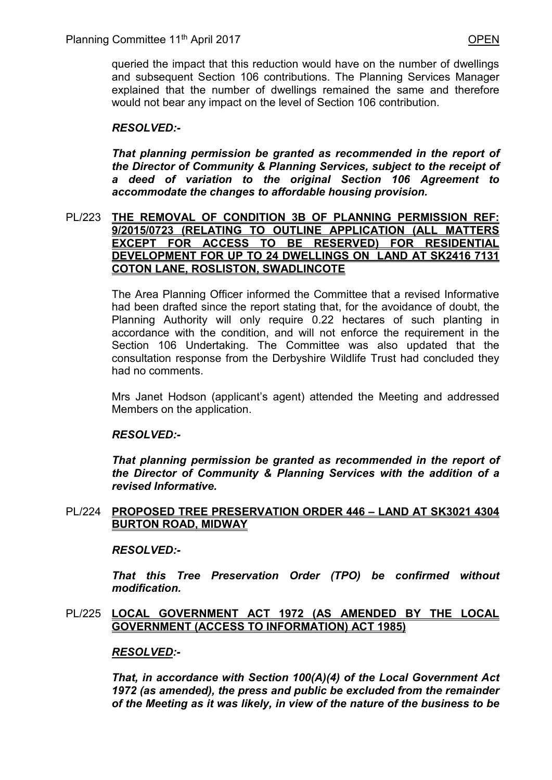queried the impact that this reduction would have on the number of dwellings and subsequent Section 106 contributions. The Planning Services Manager explained that the number of dwellings remained the same and therefore would not bear any impact on the level of Section 106 contribution.

# *RESOLVED:-*

*That planning permission be granted as recommended in the report of the Director of Community & Planning Services, subject to the receipt of a deed of variation to the original Section 106 Agreement to accommodate the changes to affordable housing provision.* 

### PL/223 **THE REMOVAL OF CONDITION 3B OF PLANNING PERMISSION REF: 9/2015/0723 (RELATING TO OUTLINE APPLICATION (ALL MATTERS EXCEPT FOR ACCESS TO BE RESERVED) FOR RESIDENTIAL DEVELOPMENT FOR UP TO 24 DWELLINGS ON LAND AT SK2416 7131 COTON LANE, ROSLISTON, SWADLINCOTE**

 The Area Planning Officer informed the Committee that a revised Informative had been drafted since the report stating that, for the avoidance of doubt, the Planning Authority will only require 0.22 hectares of such planting in accordance with the condition, and will not enforce the requirement in the Section 106 Undertaking. The Committee was also updated that the consultation response from the Derbyshire Wildlife Trust had concluded they had no comments.

 Mrs Janet Hodson (applicant's agent) attended the Meeting and addressed Members on the application.

### *RESOLVED:-*

*That planning permission be granted as recommended in the report of the Director of Community & Planning Services with the addition of a revised Informative.* 

### PL/224 **PROPOSED TREE PRESERVATION ORDER 446 – LAND AT SK3021 4304 BURTON ROAD, MIDWAY**

### *RESOLVED:-*

*That this Tree Preservation Order (TPO) be confirmed without modification.* 

### PL/225 **LOCAL GOVERNMENT ACT 1972 (AS AMENDED BY THE LOCAL GOVERNMENT (ACCESS TO INFORMATION) ACT 1985)**

### *RESOLVED:-*

*That, in accordance with Section 100(A)(4) of the Local Government Act 1972 (as amended), the press and public be excluded from the remainder of the Meeting as it was likely, in view of the nature of the business to be*